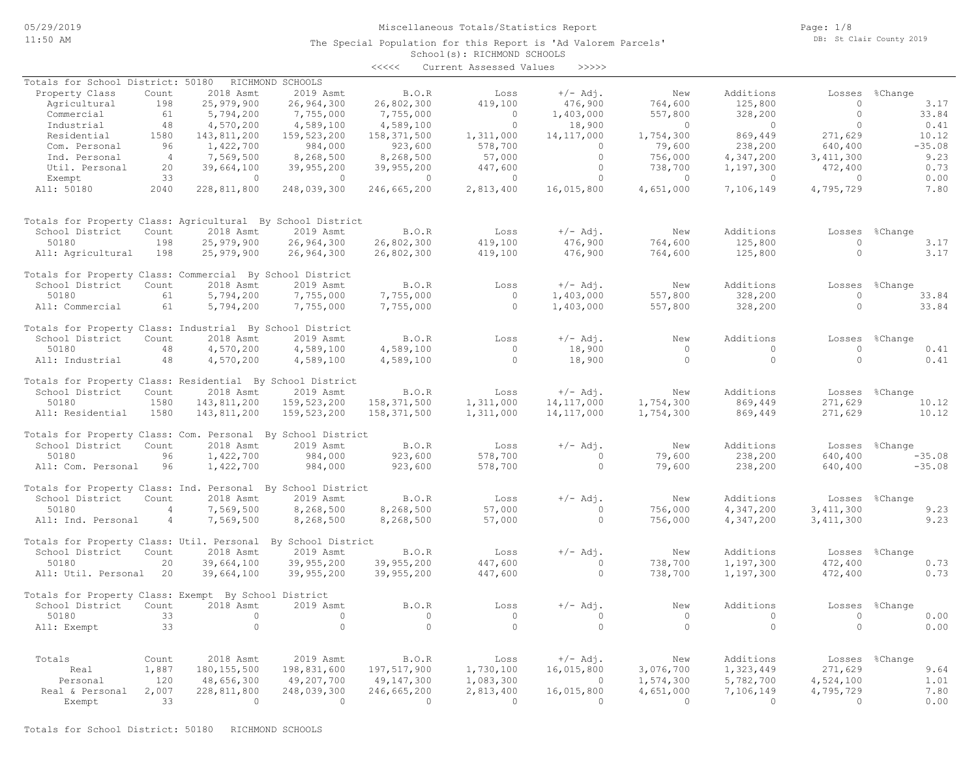## Miscellaneous Totals/Statistics Report

Page: 1/8 DB: St Clair County 2019

|                                                              |                |                          |                          | <<<<                     | Current Assessed Values | >>>>>          |                    |                        |                    |                |
|--------------------------------------------------------------|----------------|--------------------------|--------------------------|--------------------------|-------------------------|----------------|--------------------|------------------------|--------------------|----------------|
| Totals for School District: 50180                            |                |                          | RICHMOND SCHOOLS         |                          |                         |                |                    |                        |                    |                |
| Property Class                                               | Count          | 2018 Asmt                | 2019 Asmt                | B.O.R                    | Loss                    | $+/-$ Adj.     | New                | Additions              |                    | Losses %Change |
| Agricultural                                                 | 198            | 25,979,900               | 26,964,300               | 26,802,300               | 419,100                 | 476,900        | 764,600            | 125,800                | $\circ$            | 3.17           |
| Commercial                                                   | 61             | 5,794,200                | 7,755,000                | 7,755,000                | $\circ$                 | 1,403,000      | 557,800            | 328,200                | $\circ$            | 33.84          |
|                                                              | 48             |                          | 4,589,100                |                          | $\circ$                 | 18,900         | $\Omega$           | $\Omega$               | $\Omega$           |                |
| Industrial                                                   |                | 4,570,200                |                          | 4,589,100                |                         |                |                    |                        |                    | 0.41           |
| Residential                                                  | 1580           | 143,811,200              | 159,523,200              | 158, 371, 500            | 1,311,000               | 14, 117, 000   | 1,754,300          | 869,449                | 271,629            | 10.12          |
| Com. Personal                                                | 96             | 1,422,700                | 984,000                  | 923,600                  | 578,700                 | $\overline{0}$ | 79,600             | 238,200                | 640,400            | $-35.08$       |
| Ind. Personal                                                | $\overline{4}$ | 7,569,500                | 8,268,500                | 8,268,500                | 57,000                  | $\circ$        | 756,000            | 4,347,200              | 3, 411, 300        | 9.23           |
| Util. Personal                                               | 20             | 39,664,100               | 39,955,200               | 39,955,200               | 447,600                 | $\Omega$       | 738,700            | 1,197,300              | 472,400            | 0.73           |
| Exempt                                                       | 33             | $\circ$                  | $\circ$                  | $\Omega$                 | $\circ$                 | $\Omega$       | $\Omega$           | $\Omega$               | $\Omega$           | 0.00           |
| All: 50180                                                   | 2040           | 228,811,800              | 248,039,300              | 246,665,200              | 2,813,400               | 16,015,800     | 4,651,000          | 7,106,149              | 4,795,729          | 7.80           |
| Totals for Property Class: Agricultural By School District   |                |                          |                          |                          |                         |                |                    |                        |                    |                |
| School District                                              | Count          | 2018 Asmt                | 2019 Asmt                | B.O.R                    | Loss                    | $+/-$ Adj.     | New                | Additions              | Losses             | %Change        |
| 50180                                                        | 198            | 25,979,900               | 26,964,300               | 26,802,300               | 419,100                 | 476,900        | 764,600            | 125,800                | $\circ$            | 3.17           |
| All: Agricultural                                            | 198            | 25,979,900               | 26,964,300               | 26,802,300               | 419,100                 | 476,900        | 764,600            | 125,800                | $\circ$            | 3.17           |
|                                                              |                |                          |                          |                          |                         |                |                    |                        |                    |                |
| Totals for Property Class: Commercial By School District     |                |                          |                          |                          |                         |                |                    |                        |                    |                |
| School District                                              | Count          | 2018 Asmt                | 2019 Asmt                | B.O.R                    | Loss                    | $+/-$ Adj.     | New                | Additions              | Losses             | %Change        |
| 50180                                                        | 61             | 5,794,200                | 7,755,000                | 7,755,000                | $\circ$                 | 1,403,000      | 557,800            | 328,200                | $\circ$            | 33.84          |
| All: Commercial                                              | 61             | 5,794,200                | 7,755,000                | 7,755,000                | $\circ$                 | 1,403,000      | 557,800            | 328,200                | $\Omega$           | 33.84          |
| Totals for Property Class: Industrial By School District     |                |                          |                          |                          |                         |                |                    |                        |                    |                |
| School District                                              | Count          | 2018 Asmt                | 2019 Asmt                | B.O.R                    | Loss                    | $+/-$ Adj.     | New                | Additions              |                    | Losses %Change |
| 50180                                                        | 48             | 4,570,200                | 4,589,100                | 4,589,100                | $\Omega$                | 18,900         | $\Omega$           | $\Omega$               | $\Omega$           | 0.41           |
| All: Industrial                                              | 48             | 4,570,200                | 4,589,100                | 4,589,100                | $\Omega$                | 18,900         | $\circ$            | $\Omega$               | $\Omega$           | 0.41           |
| Totals for Property Class: Residential By School District    |                |                          |                          |                          |                         |                |                    |                        |                    |                |
| School District                                              | Count          | 2018 Asmt                | 2019 Asmt                | B.O.R                    | Loss                    | $+/-$ Adj.     | New                | Additions              | Losses             | %Change        |
| 50180                                                        | 1580           | 143,811,200              | 159, 523, 200            | 158, 371, 500            | 1,311,000               | 14, 117, 000   | 1,754,300          | 869,449                | 271,629            | 10.12          |
| All: Residential                                             | 1580           | 143,811,200              | 159,523,200              | 158, 371, 500            | 1,311,000               | 14, 117, 000   | 1,754,300          | 869,449                | 271,629            | 10.12          |
|                                                              |                |                          |                          |                          |                         |                |                    |                        |                    |                |
| Totals for Property Class: Com. Personal By School District  |                |                          |                          |                          |                         |                |                    |                        |                    |                |
| School District                                              | Count          | 2018 Asmt                | 2019 Asmt                | B.O.R                    | Loss                    | $+/-$ Adj.     | New                | Additions              | Losses             | %Change        |
| 50180                                                        | 96             | 1,422,700                | 984,000                  | 923,600                  | 578,700                 | $\circ$        | 79,600             | 238,200                | 640,400            | $-35.08$       |
| All: Com. Personal                                           | 96             | 1,422,700                | 984,000                  | 923,600                  | 578,700                 | $\circ$        | 79,600             | 238,200                | 640,400            | $-35.08$       |
| Totals for Property Class: Ind. Personal By School District  |                |                          |                          |                          |                         |                |                    |                        |                    |                |
| School District                                              | Count          | 2018 Asmt                | 2019 Asmt                | B.O.R                    | Loss                    | $+/-$ Adj.     | New                | Additions              | Losses             | %Change        |
| 50180                                                        | $\overline{4}$ | 7,569,500                | 8,268,500                | 8,268,500                | 57,000                  | $\circ$        | 756,000            | 4,347,200              | 3, 411, 300        | 9.23           |
| All: Ind. Personal                                           | $\overline{4}$ | 7,569,500                | 8,268,500                | 8,268,500                | 57,000                  | $\circ$        | 756,000            | 4,347,200              | 3, 411, 300        | 9.23           |
| Totals for Property Class: Util. Personal By School District |                |                          |                          |                          |                         |                |                    |                        |                    |                |
|                                                              |                | 2018 Asmt                | 2019 Asmt                | B.O.R                    |                         | $+/-$ Adj.     | New                | Additions              |                    |                |
| School District<br>50180                                     | Count          |                          |                          |                          | Loss                    | $\Omega$       |                    |                        | Losses             | %Change        |
| All: Util. Personal                                          | 20<br>20       | 39,664,100<br>39,664,100 | 39,955,200<br>39,955,200 | 39,955,200<br>39,955,200 | 447,600<br>447,600      | $\Omega$       | 738,700<br>738,700 | 1,197,300<br>1,197,300 | 472,400<br>472,400 | 0.73<br>0.73   |
|                                                              |                |                          |                          |                          |                         |                |                    |                        |                    |                |
| Totals for Property Class: Exempt By School District         |                |                          |                          |                          |                         |                |                    |                        |                    |                |
| School District                                              | Count          | 2018 Asmt                | 2019 Asmt                | B.O.R                    | Loss                    | $+/-$ Adj.     | New                | Additions              | Losses             | %Change        |
| 50180                                                        | 33             | $\Omega$                 | $\circ$                  | $\circ$                  | $\circ$                 | $\Omega$       | $\circ$            | $\Omega$               | $\Omega$           | 0.00           |
| All: Exempt                                                  | 33             | $\circ$                  | $\circ$                  | $\circ$                  | $\circ$                 | $\circ$        | $\circ$            | $\circ$                | $\circ$            | 0.00           |
|                                                              |                |                          |                          |                          |                         |                |                    |                        |                    |                |
| Totals                                                       | Count          | 2018 Asmt                | 2019 Asmt                | B.O.R                    | Loss                    | $+/-$ Adj.     | New                | Additions              |                    | Losses %Change |
| Real                                                         | 1,887          | 180, 155, 500            | 198,831,600              | 197,517,900              | 1,730,100               | 16,015,800     | 3,076,700          | 1,323,449              | 271,629            | 9.64           |
| Personal                                                     | 120            | 48,656,300               | 49,207,700               | 49,147,300               | 1,083,300               | $\circ$        | 1,574,300          | 5,782,700              | 4,524,100          | 1.01           |
| Real & Personal                                              | 2,007          | 228,811,800              | 248,039,300              | 246,665,200              | 2,813,400               | 16,015,800     | 4,651,000          | 7,106,149              | 4,795,729          | 7.80           |
| Exempt                                                       | 33             | $\Omega$                 | $\Omega$                 | $\Omega$                 | $\Omega$                | $\Omega$       | $\Omega$           | $\Omega$               | $\Omega$           | 0.00           |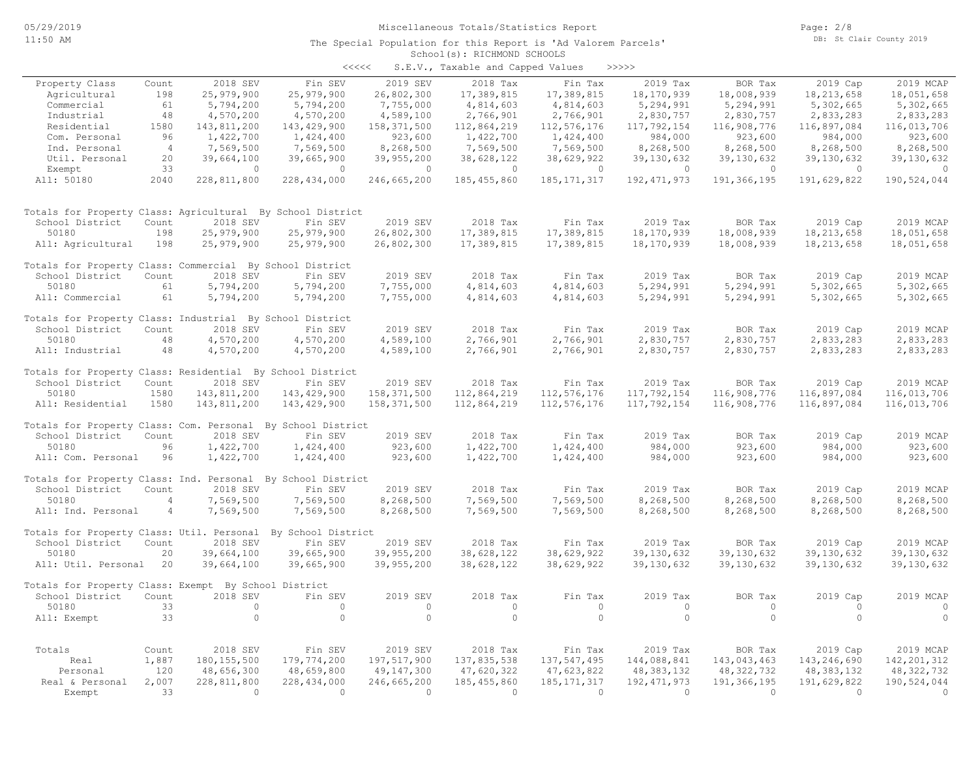| くくくくく | S.E.V., Taxable and Capped Values |  | >>>>>> |
|-------|-----------------------------------|--|--------|

| Property Class                                                          | Count          | 2018 SEV                 | Fin SEV                  | 2019 SEV                 | 2018 Tax                 | Fin Tax                  | 2019 Tax                 | BOR Tax                      | 2019 Cap                   | 2019 MCAP                |
|-------------------------------------------------------------------------|----------------|--------------------------|--------------------------|--------------------------|--------------------------|--------------------------|--------------------------|------------------------------|----------------------------|--------------------------|
| Agricultural                                                            | 198            | 25,979,900               | 25,979,900               | 26,802,300               | 17,389,815               | 17,389,815               | 18,170,939               | 18,008,939                   | 18, 213, 658               | 18,051,658               |
| Commercial                                                              | 61             | 5,794,200                | 5,794,200                | 7,755,000                | 4,814,603                | 4,814,603                | 5,294,991                | 5,294,991                    | 5,302,665                  | 5,302,665                |
| Industrial                                                              | 48             | 4,570,200                | 4,570,200                | 4,589,100                | 2,766,901                | 2,766,901                | 2,830,757                | 2,830,757                    | 2,833,283                  | 2,833,283                |
| Residential                                                             | 1580           | 143,811,200              | 143,429,900              | 158, 371, 500            | 112,864,219              | 112,576,176              | 117,792,154              | 116,908,776                  | 116,897,084                | 116,013,706              |
| Com. Personal                                                           | 96             | 1,422,700                | 1,424,400                | 923,600                  | 1,422,700                | 1,424,400                | 984,000                  | 923,600                      | 984,000                    | 923,600                  |
| Ind. Personal                                                           | $\overline{4}$ | 7,569,500                | 7,569,500                | 8,268,500                | 7,569,500                | 7,569,500                | 8,268,500                | 8,268,500                    | 8,268,500                  | 8,268,500                |
| Util. Personal                                                          | 20             | 39,664,100               | 39,665,900               | 39,955,200               | 38,628,122               | 38,629,922               | 39,130,632               | 39, 130, 632                 | 39, 130, 632               | 39, 130, 632             |
| Exempt                                                                  | 33             | $\circ$                  | $\bigcirc$               | $\circ$                  | $\circ$                  | $\circ$                  | $\circ$                  | $\circ$                      | $\circ$                    | $\Omega$                 |
| All: 50180                                                              | 2040           | 228,811,800              | 228,434,000              | 246,665,200              | 185,455,860              | 185, 171, 317            | 192,471,973              | 191,366,195                  | 191,629,822                | 190,524,044              |
| Totals for Property Class: Agricultural By School District              |                |                          |                          |                          |                          |                          |                          |                              |                            |                          |
| School District                                                         | Count          | 2018 SEV                 | Fin SEV                  | 2019 SEV                 | 2018 Tax                 | Fin Tax                  | 2019 Tax                 | BOR Tax                      | 2019 Cap                   | 2019 MCAP                |
| 50180                                                                   | 198            | 25,979,900               | 25,979,900               | 26,802,300               | 17,389,815               | 17,389,815               | 18,170,939               | 18,008,939                   | 18, 213, 658               | 18,051,658               |
| All: Agricultural                                                       | 198            | 25,979,900               | 25,979,900               | 26,802,300               | 17,389,815               | 17,389,815               | 18,170,939               | 18,008,939                   | 18, 213, 658               | 18,051,658               |
| Totals for Property Class: Commercial By School District                |                |                          |                          |                          |                          |                          |                          |                              |                            |                          |
| School District                                                         | Count          | 2018 SEV                 | Fin SEV                  | 2019 SEV                 | 2018 Tax                 | Fin Tax                  | 2019 Tax                 | BOR Tax                      | 2019 Cap                   | 2019 MCAP                |
| 50180                                                                   | 61             | 5,794,200                | 5,794,200                | 7,755,000                | 4,814,603                | 4,814,603                | 5,294,991                | 5,294,991                    | 5,302,665                  | 5,302,665                |
| All: Commercial                                                         | 61             | 5,794,200                | 5,794,200                | 7,755,000                | 4,814,603                | 4,814,603                | 5,294,991                | 5,294,991                    | 5,302,665                  | 5,302,665                |
| Totals for Property Class: Industrial By School District                |                |                          |                          |                          |                          |                          |                          |                              |                            |                          |
| School District                                                         | Count          | 2018 SEV                 | Fin SEV                  | 2019 SEV                 | 2018 Tax                 | Fin Tax                  | 2019 Tax                 | BOR Tax                      | 2019 Cap                   | 2019 MCAP                |
| 50180                                                                   | 48             | 4,570,200                | 4,570,200                | 4,589,100                | 2,766,901                | 2,766,901                | 2,830,757                | 2,830,757                    | 2,833,283                  | 2,833,283                |
| All: Industrial                                                         | 48             | 4,570,200                | 4,570,200                | 4,589,100                | 2,766,901                | 2,766,901                | 2,830,757                | 2,830,757                    | 2,833,283                  | 2,833,283                |
| Totals for Property Class: Residential By School District               |                |                          |                          |                          |                          |                          |                          |                              |                            |                          |
| School District                                                         | Count          | 2018 SEV                 | Fin SEV                  | 2019 SEV                 | 2018 Tax                 | Fin Tax                  | 2019 Tax                 | BOR Tax                      | 2019 Cap                   | 2019 MCAP                |
| 50180                                                                   | 1580           | 143,811,200              | 143, 429, 900            | 158, 371, 500            | 112,864,219              | 112, 576, 176            | 117,792,154              | 116,908,776                  | 116,897,084                | 116,013,706              |
| All: Residential                                                        | 1580           | 143,811,200              | 143,429,900              | 158,371,500              | 112,864,219              | 112, 576, 176            | 117,792,154              | 116,908,776                  | 116,897,084                | 116,013,706              |
| Totals for Property Class: Com. Personal By School District             |                |                          |                          |                          |                          |                          |                          |                              |                            |                          |
| School District                                                         | Count          | 2018 SEV                 | Fin SEV                  | 2019 SEV                 | 2018 Tax                 | Fin Tax                  | 2019 Tax                 | BOR Tax                      | 2019 Cap                   | 2019 MCAP                |
| 50180                                                                   | 96             | 1,422,700                | 1,424,400                | 923,600                  | 1,422,700                | 1,424,400                | 984,000                  | 923,600                      | 984,000                    | 923,600                  |
| All: Com. Personal                                                      | 96             | 1,422,700                | 1,424,400                | 923,600                  | 1,422,700                | 1,424,400                | 984,000                  | 923,600                      | 984,000                    | 923,600                  |
| Totals for Property Class: Ind. Personal By School District             |                |                          |                          |                          |                          |                          |                          |                              |                            |                          |
| School District                                                         | Count          | 2018 SEV                 | Fin SEV                  | 2019 SEV                 | 2018 Tax                 | Fin Tax                  | 2019 Tax                 | BOR Tax                      | 2019 Cap                   | 2019 MCAP                |
| 50180                                                                   | $\overline{4}$ | 7,569,500                | 7,569,500                | 8,268,500                | 7,569,500                | 7,569,500                | 8,268,500                | 8,268,500                    | 8,268,500                  | 8,268,500                |
| All: Ind. Personal                                                      | $\overline{4}$ | 7,569,500                | 7,569,500                | 8,268,500                | 7,569,500                | 7,569,500                | 8,268,500                | 8,268,500                    | 8,268,500                  | 8,268,500                |
| Totals for Property Class: Util. Personal By School District            |                |                          |                          |                          |                          |                          |                          |                              |                            |                          |
| School District                                                         | Count          | 2018 SEV                 | Fin SEV                  | 2019 SEV                 | 2018 Tax                 | Fin Tax                  | 2019 Tax                 | BOR Tax                      | 2019 Cap                   | 2019 MCAP                |
| 50180<br>All: Util. Personal                                            | 20<br>20       | 39,664,100<br>39,664,100 | 39,665,900<br>39,665,900 | 39,955,200<br>39,955,200 | 38,628,122<br>38,628,122 | 38,629,922<br>38,629,922 | 39,130,632<br>39,130,632 | 39, 130, 632<br>39, 130, 632 | 39,130,632<br>39, 130, 632 | 39,130,632<br>39,130,632 |
|                                                                         |                |                          |                          |                          |                          |                          |                          |                              |                            |                          |
| Totals for Property Class: Exempt By School District<br>School District | Count          | 2018 SEV                 | Fin SEV                  | 2019 SEV                 | 2018 Tax                 | Fin Tax                  | 2019 Tax                 | BOR Tax                      | 2019 Cap                   | 2019 MCAP                |
| 50180                                                                   | 33             | $\Omega$                 | $\Omega$                 | $\circ$                  | $\circ$                  | $\circ$                  | $\Omega$                 | $\Omega$                     | $\circ$                    | 0                        |
| All: Exempt                                                             | 33             | $\circ$                  | $\Omega$                 | $\circ$                  | $\circ$                  | $\circ$                  | $\circ$                  | $\circ$                      | $\circ$                    | $\circ$                  |
|                                                                         |                |                          |                          |                          |                          |                          |                          |                              |                            |                          |
| Totals                                                                  | Count          | 2018 SEV                 | Fin SEV                  | 2019 SEV                 | 2018 Tax                 | Fin Tax                  | 2019 Tax                 | BOR Tax                      | 2019 Cap                   | 2019 MCAP                |
| Real                                                                    | 1,887          | 180, 155, 500            | 179,774,200              | 197,517,900              | 137,835,538              | 137, 547, 495            | 144,088,841              | 143,043,463                  | 143,246,690                | 142, 201, 312            |
| Personal                                                                | 120            | 48,656,300               | 48,659,800               | 49,147,300               | 47,620,322               | 47,623,822               | 48, 383, 132             | 48, 322, 732                 | 48, 383, 132               | 48, 322, 732             |
| Real & Personal                                                         | 2,007          | 228,811,800              | 228,434,000              | 246,665,200              | 185, 455, 860            | 185, 171, 317            | 192, 471, 973            | 191,366,195                  | 191,629,822                | 190,524,044              |
| Exempt                                                                  | 33             | $\overline{0}$           | $\bigcirc$               | $\bigcap$                | $\circ$                  | $\overline{0}$           | $\overline{0}$           | $\overline{0}$               | $\circ$                    | $\circ$                  |
|                                                                         |                |                          |                          |                          |                          |                          |                          |                              |                            |                          |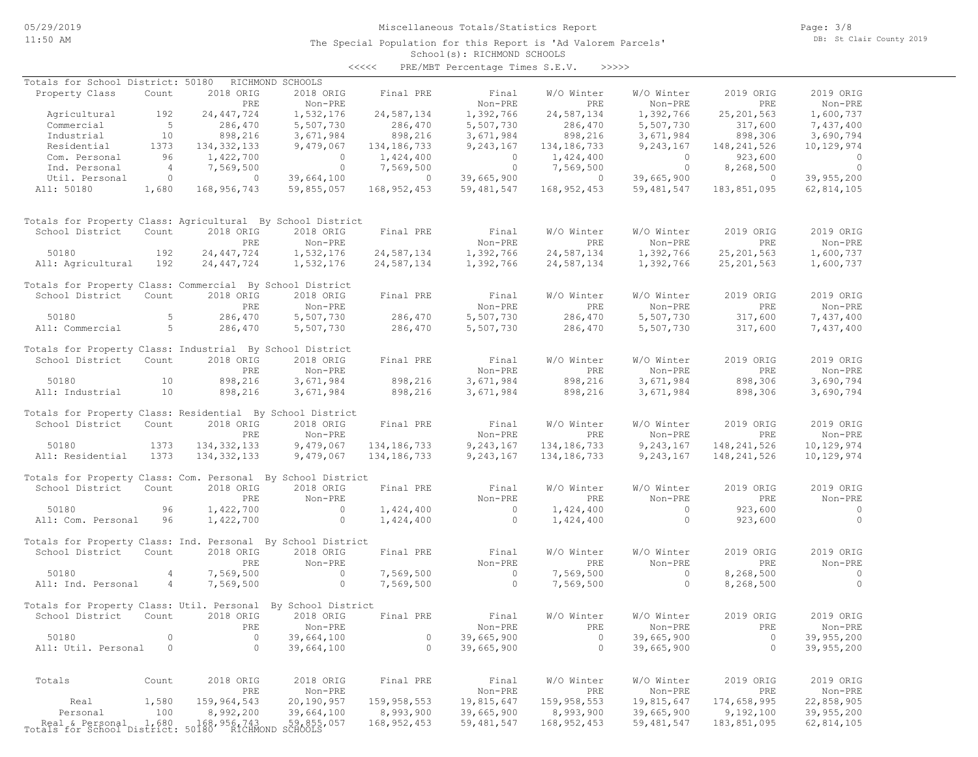# Miscellaneous Totals/Statistics Report

The Special Population for this Report is 'Ad Valorem Parcels'

Page: 3/8 DB: St Clair County 2019

## School(s): RICHMOND SCHOOLS <<<<< PRE/MBT Percentage Times S.E.V. >>>>>

| Totals for School District: 50180                            |                |                  | RICHMOND SCHOOLS                                 |                |                                      |                   |                       |                  |                      |
|--------------------------------------------------------------|----------------|------------------|--------------------------------------------------|----------------|--------------------------------------|-------------------|-----------------------|------------------|----------------------|
| Property Class                                               | Count          | 2018 ORIG        | 2018 ORIG                                        | Final PRE      | Final                                | W/O Winter        | W/O Winter            | 2019 ORIG        | 2019 ORIG            |
|                                                              |                | PRE              | Non-PRE                                          |                | Non-PRE                              | PRE               | Non-PRE               | PRE              | Non-PRE              |
| Agricultural                                                 | 192            | 24, 447, 724     | 1,532,176                                        | 24,587,134     | 1,392,766                            | 24,587,134        | 1,392,766             | 25, 201, 563     | 1,600,737            |
| Commercial                                                   | $5^{\circ}$    | 286,470          | 5,507,730                                        | 286,470        | 5,507,730                            | 286,470           | 5,507,730             | 317,600          | 7,437,400            |
| Industrial                                                   | 10             | 898,216          | 3,671,984                                        | 898,216        | 3,671,984                            | 898,216           | 3,671,984             | 898,306          | 3,690,794            |
| Residential                                                  | 1373           | 134, 332, 133    | 9,479,067                                        | 134, 186, 733  | 9,243,167                            | 134,186,733       | 9, 243, 167           | 148,241,526      | 10,129,974           |
| Com. Personal                                                | 96             | 1,422,700        | $\overline{0}$                                   | 1,424,400      | $\begin{matrix} 0 \\ 0 \end{matrix}$ | 1,424,400         | $\overline{0}$        | 923,600          | $\overline{0}$       |
| Ind. Personal                                                | $\overline{4}$ | 7,569,500        | $\overline{0}$                                   | 7,569,500      |                                      | 7,569,500         | $\overline{0}$        | 8,268,500        | $\sim$ 0             |
| Util. Personal                                               | $\overline{0}$ | $\overline{0}$   | 39,664,100                                       | $\overline{0}$ | 39,665,900                           | $\sim$ 0          | 39,665,900            | $\overline{0}$   | 39,955,200           |
| All: 50180                                                   | 1,680          | 168,956,743      | 59,855,057                                       | 168,952,453    | 59,481,547                           | 168,952,453       | 59,481,547            | 183,851,095      | 62,814,105           |
| Totals for Property Class: Agricultural By School District   |                |                  |                                                  |                |                                      |                   |                       |                  |                      |
| School District                                              | Count          | 2018 ORIG        | 2018 ORIG                                        | Final PRE      | Final                                | W/O Winter        | W/O Winter            | 2019 ORIG        | 2019 ORIG            |
|                                                              |                | PRE              | Non-PRE                                          |                | Non-PRE                              | PRE               | Non-PRE               | PRE              | Non-PRE              |
| 50180                                                        | 192            | 24, 447, 724     | 1,532,176                                        | 24,587,134     | 1,392,766                            | 24,587,134        | 1,392,766             | 25, 201, 563     | 1,600,737            |
| All: Agricultural 192                                        |                | 24, 447, 724     | 1,532,176                                        | 24,587,134     | 1,392,766                            | 24,587,134        | 1,392,766             | 25, 201, 563     | 1,600,737            |
| Totals for Property Class: Commercial By School District     |                |                  |                                                  |                |                                      |                   |                       |                  |                      |
| School District                                              | Count          | 2018 ORIG        | 2018 ORIG                                        | Final PRE      | Final                                | W/O Winter        | W/O Winter            | 2019 ORIG        | 2019 ORIG            |
|                                                              | 5              | PRE              | Non-PRE                                          |                | Non-PRE                              | <b>PRE</b>        | Non-PRE               | PRE              | Non-PRE              |
| 50180                                                        |                | 286,470          | 5,507,730                                        | 286,470        | 5,507,730                            | 286,470           | 5,507,730             | 317,600          | 7,437,400            |
| All: Commercial                                              | $5 - 5$        | 286,470          | 5,507,730                                        | 286,470        | 5,507,730                            | 286,470           | 5,507,730             | 317,600          | 7,437,400            |
| Totals for Property Class: Industrial By School District     |                |                  |                                                  |                |                                      |                   |                       |                  |                      |
| School District                                              | Count          | 2018 ORIG        | 2018 ORIG                                        | Final PRE      | Final                                | W/O Winter        | W/O Winter            | 2019 ORIG        | 2019 ORIG            |
|                                                              |                | PRE              | Non-PRE                                          |                | Non-PRE                              | PRE               | Non-PRE               | PRE              | Non-PRE              |
| 50180                                                        | 10             | 898,216          | 3,671,984                                        | 898,216        | 3,671,984                            | 898,216           | 3,671,984             | 898,306          | 3,690,794            |
| All: Industrial                                              | 10             | 898,216          | 3,671,984                                        | 898,216        | 3,671,984                            | 898,216           | 3,671,984             | 898,306          | 3,690,794            |
| Totals for Property Class: Residential By School District    |                |                  |                                                  |                |                                      |                   |                       |                  |                      |
| School District                                              | Count          | 2018 ORIG        | 2018 ORIG                                        | Final PRE      | Final                                | W/O Winter        | W/O Winter            | 2019 ORIG        | 2019 ORIG            |
|                                                              |                | PRE              | Non-PRE                                          |                | Non-PRE                              | PRE               | Non-PRE               | PRE              | Non-PRE              |
| 50180                                                        | 1373           | 134, 332, 133    | 9,479,067                                        | 134,186,733    | 9,243,167                            | 134, 186, 733     | 9,243,167             | 148, 241, 526    | 10,129,974           |
| All: Residential                                             | 1373           | 134, 332, 133    | 9,479,067                                        | 134, 186, 733  | 9,243,167                            | 134, 186, 733     | 9,243,167             | 148,241,526      | 10,129,974           |
| Totals for Property Class: Com. Personal By School District  |                |                  |                                                  |                |                                      |                   |                       |                  |                      |
| School District                                              | Count          | 2018 ORIG        | 2018 ORIG                                        | Final PRE      | Final                                | W/O Winter        | W/O Winter            | 2019 ORIG        | 2019 ORIG            |
|                                                              |                | PRE              | Non-PRE                                          |                | Non-PRE                              | PRE               | Non-PRE               | PRE              | Non-PRE              |
| 50180                                                        | 96             | 1,422,700        | $\sim$ 0                                         | 1,424,400      | $\sim$ 0                             | 1,424,400         | $\overline{0}$        | 923,600          | $\sim$ 0             |
| All: Com. Personal 96                                        |                | 1,422,700        | $\circ$                                          | 1,424,400      | $\circ$                              | 1,424,400         | $\circ$               | 923,600          | $\overline{0}$       |
| Totals for Property Class: Ind. Personal By School District  |                |                  |                                                  |                |                                      |                   |                       |                  |                      |
| School District                                              | Count          | 2018 ORIG        | 2018 ORIG                                        | Final PRE      | Final                                | W/O Winter        | W/O Winter            | 2019 ORIG        | 2019 ORIG            |
|                                                              |                | PRE              | Non-PRE                                          |                | Non-PRE                              | PRE               | Non-PRE               | PRE              | Non-PRE              |
| 50180                                                        | $\overline{4}$ | 7,569,500        | $\sim$ 0                                         | 7,569,500      | $\sim$ 0                             | 7,569,500         | $\overline{0}$        | 8,268,500        | $\sim$ 0             |
| All: Ind. Personal                                           | 4              | 7,569,500        | $\overline{0}$                                   | 7,569,500      | $\overline{0}$                       | 7,569,500         | $\circ$               | 8,268,500        | $\overline{0}$       |
| Totals for Property Class: Util. Personal By School District |                |                  |                                                  |                |                                      |                   |                       |                  |                      |
| School District                                              | Count          | 2018 ORIG        | 2018 ORIG                                        | Final PRE      | Final                                | W/O Winter        | W/O Winter            | 2019 ORIG        | 2019 ORIG            |
|                                                              |                | PRE              | $Non-PRE$                                        |                | Non-PRE                              | PRE               | $Non-PRE$             | ${\tt PRE}$      | Non-PRE              |
| 50180                                                        | $\circ$        | $\circ$          | 39,664,100                                       | $\circ$        | 39,665,900                           | $\circ$           | 39,665,900            | 0                | 39,955,200           |
| All: Util. Personal                                          | 0              | $\circ$          | 39,664,100                                       | $\circ$        | 39,665,900                           | $\circ$           | 39,665,900            | $\Omega$         | 39,955,200           |
|                                                              |                |                  |                                                  |                |                                      |                   |                       |                  |                      |
| Totals                                                       | Count          | 2018 ORIG<br>PRE | 2018 ORIG<br>Non-PRE                             | Final PRE      | Final<br>Non-PRE                     | W/O Winter<br>PRE | W/O Winter<br>Non-PRE | 2019 ORIG<br>PRE | 2019 ORIG<br>Non-PRE |
| Real                                                         | 1,580          | 159,964,543      | 20,190,957                                       | 159, 958, 553  | 19,815,647                           | 159,958,553       | 19,815,647            | 174,658,995      | 22,858,905           |
| Personal                                                     | 100            | 8,992,200        | 39,664,100                                       | 8,993,900      | 39,665,900                           | 8,993,900         | 39,665,900            | 9,192,100        | 39,955,200           |
|                                                              |                |                  |                                                  | 168, 952, 453  | 59, 481, 547                         | 168, 952, 453     | 59, 481, 547          | 183,851,095      | 62, 814, 105         |
| Real & Personal 1,680<br>Totals for School District:         |                |                  | 168,956,743 59,855,057<br>50180 RICHMOND SCHOOLS |                |                                      |                   |                       |                  |                      |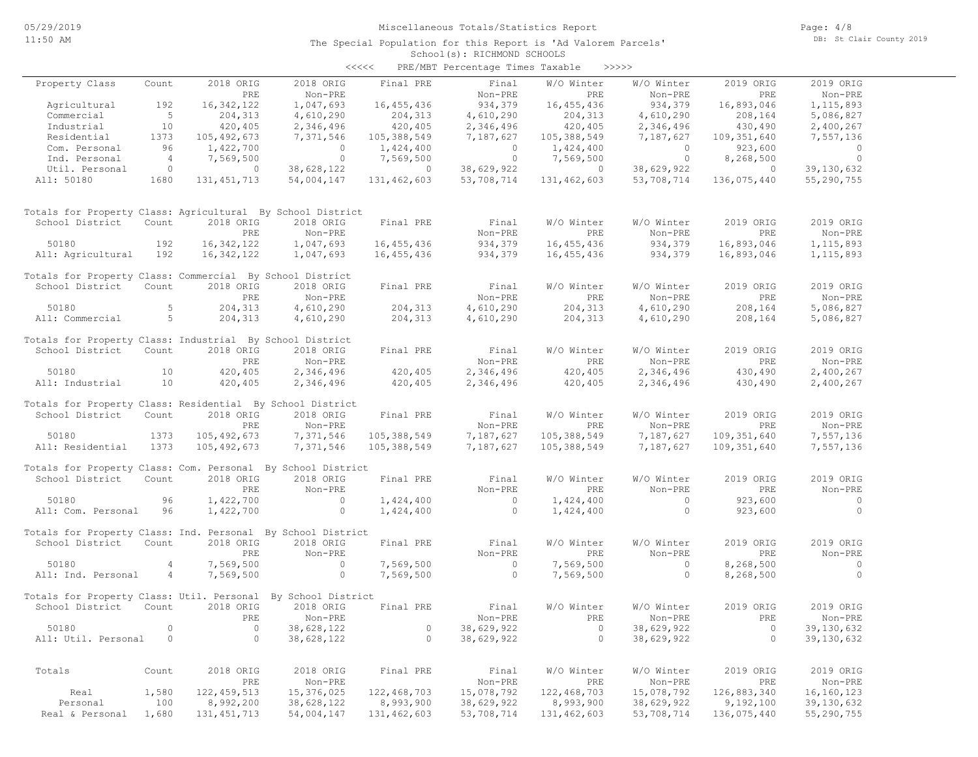|                                                             |                |               |                    | <<<<          | PRE/MBT Percentage Times Taxable |               | >>>>>        |               |              |
|-------------------------------------------------------------|----------------|---------------|--------------------|---------------|----------------------------------|---------------|--------------|---------------|--------------|
| Property Class                                              | Count          | 2018 ORIG     | 2018 ORIG          | Final PRE     | Final                            | W/O Winter    | W/O Winter   | 2019 ORIG     | 2019 ORIG    |
|                                                             |                | PRE           | Non-PRE            |               | Non-PRE                          | PRE           | Non-PRE      | PRE           | Non-PRE      |
| Agricultural                                                | 192            | 16, 342, 122  | 1,047,693          | 16,455,436    | 934,379                          | 16,455,436    | 934,379      | 16,893,046    | 1, 115, 893  |
| Commercial                                                  | $5^{\circ}$    | 204, 313      | 4,610,290          | 204,313       | 4,610,290                        | 204, 313      | 4,610,290    | 208,164       | 5,086,827    |
| Industrial                                                  | 10             | 420,405       | 2,346,496          | 420,405       | 2,346,496                        | 420,405       | 2,346,496    | 430,490       | 2,400,267    |
| Residential                                                 | 1373           | 105, 492, 673 | 7,371,546          | 105,388,549   | 7,187,627                        | 105,388,549   | 7,187,627    | 109,351,640   | 7,557,136    |
| Com. Personal                                               | 96             | 1,422,700     | $\overline{0}$     | 1,424,400     | $\circ$                          | 1,424,400     | $\circ$      | 923,600       | $\circ$      |
| Ind. Personal                                               | $\overline{4}$ | 7,569,500     | $\overline{0}$     | 7,569,500     | $\circ$                          | 7,569,500     | $\circ$      | 8,268,500     | $\circ$      |
| Util. Personal                                              | $\circ$        | $\circ$       | 38,628,122         | $\circ$       | 38,629,922                       | $\circ$       | 38,629,922   | $\circ$       | 39, 130, 632 |
| All: 50180                                                  | 1680           | 131, 451, 713 | 54,004,147         | 131,462,603   | 53,708,714                       | 131,462,603   | 53,708,714   | 136,075,440   | 55,290,755   |
| Totals for Property Class: Agricultural By School District  |                |               |                    |               |                                  |               |              |               |              |
| School District                                             | Count          | 2018 ORIG     | 2018 ORIG          | Final PRE     | Final                            | W/O Winter    | W/O Winter   | 2019 ORIG     | 2019 ORIG    |
|                                                             |                | PRE           | Non-PRE            |               | Non-PRE                          | PRE           | Non-PRE      | PRE           | Non-PRE      |
| 50180                                                       | 192            | 16, 342, 122  | 1,047,693          | 16,455,436    | 934,379                          | 16,455,436    | 934,379      | 16,893,046    | 1, 115, 893  |
| All: Agricultural                                           | 192            | 16, 342, 122  | 1,047,693          | 16, 455, 436  | 934,379                          | 16,455,436    | 934,379      | 16,893,046    | 1, 115, 893  |
| Totals for Property Class: Commercial By School District    |                |               |                    |               |                                  |               |              |               |              |
| School District                                             | Count          | 2018 ORIG     | 2018 ORIG          | Final PRE     | Final                            | W/O Winter    | W/O Winter   | 2019 ORIG     | 2019 ORIG    |
|                                                             |                | PRE           | Non-PRE            |               | Non-PRE                          | PRE           | Non-PRE      | PRE           | Non-PRE      |
| 50180                                                       | 5              | 204,313       | 4,610,290          | 204,313       | 4,610,290                        | 204,313       | 4,610,290    | 208,164       | 5,086,827    |
| All: Commercial                                             | 5              | 204,313       | 4,610,290          | 204,313       | 4,610,290                        | 204,313       | 4,610,290    | 208,164       | 5,086,827    |
| Totals for Property Class: Industrial By School District    |                |               |                    |               |                                  |               |              |               |              |
| School District                                             | Count          | 2018 ORIG     | 2018 ORIG          | Final PRE     | Final                            | W/O Winter    | W/O Winter   | 2019 ORIG     | 2019 ORIG    |
|                                                             |                | PRE           | Non-PRE            |               | Non-PRE                          | PRE           | Non-PRE      | PRE           | Non-PRE      |
| 50180                                                       | 10             | 420,405       | 2,346,496          | 420,405       | 2,346,496                        | 420,405       | 2,346,496    | 430,490       | 2,400,267    |
| All: Industrial                                             | 10             | 420,405       | 2,346,496          | 420,405       | 2,346,496                        | 420,405       | 2,346,496    | 430,490       | 2,400,267    |
| Totals for Property Class: Residential By School District   |                |               |                    |               |                                  |               |              |               |              |
| School District                                             | Count          | 2018 ORIG     | 2018 ORIG          | Final PRE     | Final                            | W/O Winter    | W/O Winter   | 2019 ORIG     | 2019 ORIG    |
|                                                             |                | PRE           | Non-PRE            |               | Non-PRE                          | <b>PRE</b>    | Non-PRE      | PRE           | Non-PRE      |
| 50180                                                       | 1373           | 105, 492, 673 | 7,371,546          | 105,388,549   | 7,187,627                        | 105,388,549   | 7,187,627    | 109,351,640   | 7,557,136    |
| All: Residential                                            | 1373           | 105,492,673   | 7,371,546          | 105,388,549   | 7,187,627                        | 105,388,549   | 7,187,627    | 109, 351, 640 | 7,557,136    |
| Totals for Property Class: Com. Personal By School District |                |               |                    |               |                                  |               |              |               |              |
| School District                                             | Count          | 2018 ORIG     | 2018 ORIG          | Final PRE     | Final                            | W/O Winter    | W/O Winter   | 2019 ORIG     | 2019 ORIG    |
|                                                             |                | PRE           | Non-PRE            |               | Non-PRE                          | PRE           | Non-PRE      | PRE           | Non-PRE      |
| 50180                                                       | 96             | 1,422,700     | $\circ$            | 1,424,400     | $\circ$                          | 1,424,400     | $\mathbf{0}$ | 923,600       | $\mathbf{0}$ |
| All: Com. Personal                                          | 96             | 1,422,700     | $\circ$            | 1,424,400     | $\circ$                          | 1,424,400     | $\circ$      | 923,600       | $\circ$      |
| Totals for Property Class: Ind. Personal By School District |                |               |                    |               |                                  |               |              |               |              |
| School District                                             | Count          | 2018 ORIG     | 2018 ORIG          | Final PRE     | Final                            | W/O Winter    | W/O Winter   | 2019 ORIG     | 2019 ORIG    |
|                                                             |                | PRE           | Non-PRE            |               | Non-PRE                          | PRE           | Non-PRE      | PRE           | Non-PRE      |
| 50180                                                       | 4              | 7,569,500     | $\circ$            | 7,569,500     | $\circ$                          | 7,569,500     | $\circ$      | 8,268,500     | $\circ$      |
| All: Ind. Personal                                          | 4              | 7,569,500     | $\circ$            | 7,569,500     | $\circ$                          | 7,569,500     | $\circ$      | 8,268,500     | $\circ$      |
| Totals for Property Class: Util. Personal                   |                |               | By School District |               |                                  |               |              |               |              |
| School District                                             | Count          | 2018 ORIG     | 2018 ORIG          | Final PRE     | Final                            | W/O Winter    | W/O Winter   | 2019 ORIG     | 2019 ORIG    |
|                                                             |                | PRE           | Non-PRE            |               | Non-PRE                          | PRE           | Non-PRE      | PRE           | Non-PRE      |
| 50180                                                       | $\circ$        | $\circ$       | 38,628,122         | $\circ$       | 38,629,922                       | $\circ$       | 38,629,922   | 0             | 39,130,632   |
| All: Util. Personal                                         | $\circ$        | $\circ$       | 38,628,122         | $\circ$       | 38,629,922                       | $\circ$       | 38,629,922   | $\circ$       | 39,130,632   |
|                                                             |                |               |                    |               |                                  |               |              |               |              |
| Totals                                                      | Count          | 2018 ORIG     | 2018 ORIG          | Final PRE     | Final                            | W/O Winter    | W/O Winter   | 2019 ORIG     | 2019 ORIG    |
|                                                             |                | PRE           | Non-PRE            |               | Non-PRE                          | PRE           | Non-PRE      | PRE           | Non-PRE      |
| Real                                                        | 1,580          | 122, 459, 513 | 15,376,025         | 122,468,703   | 15,078,792                       | 122, 468, 703 | 15,078,792   | 126,883,340   | 16, 160, 123 |
| Personal                                                    | 100            | 8,992,200     | 38,628,122         | 8,993,900     | 38,629,922                       | 8,993,900     | 38,629,922   | 9,192,100     | 39,130,632   |
| Real & Personal                                             | 1,680          | 131, 451, 713 | 54,004,147         | 131, 462, 603 | 53,708,714                       | 131,462,603   | 53,708,714   | 136,075,440   | 55,290,755   |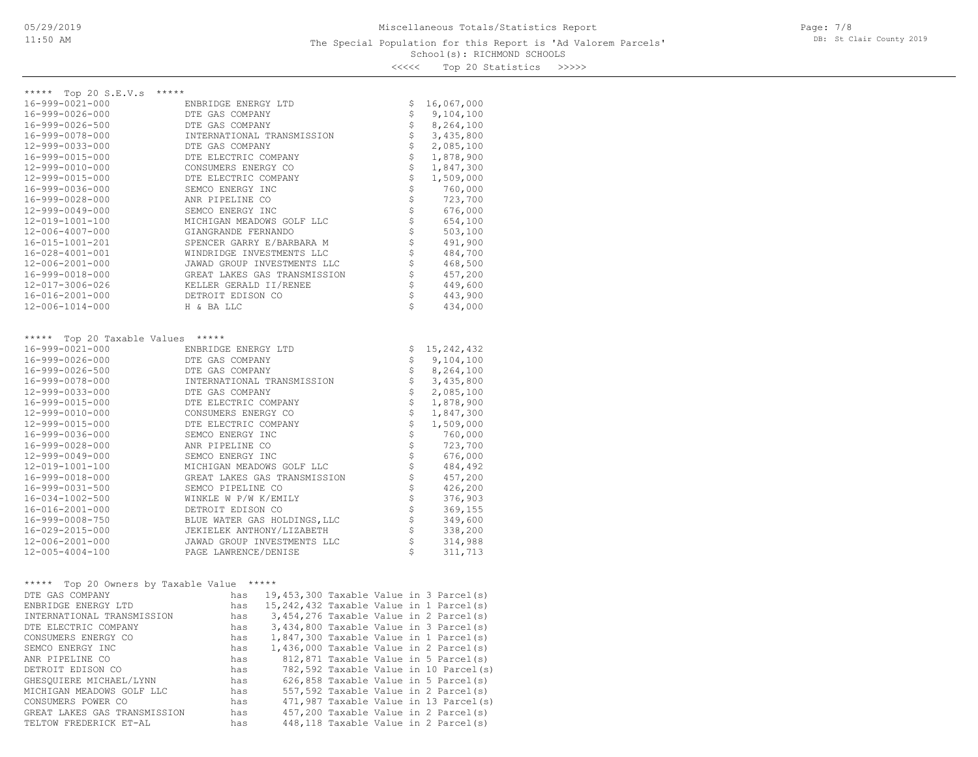Page: 7/8 DB: St Clair County 2019

<<<<< Top 20 Statistics >>>>>

| ***** Top 20 S.E.V.s *****                    |                                                                                                                                      |               |            |
|-----------------------------------------------|--------------------------------------------------------------------------------------------------------------------------------------|---------------|------------|
| 16-999-0021-000                               | ENBRIDGE ENERGY LTD                                                                                                                  | Ş             | 16,067,000 |
| 16-999-0026-000                               | DTE GAS COMPANY                                                                                                                      | \$            | 9,104,100  |
| 16-999-0026-500                               | DTE GAS COMPANY                                                                                                                      | \$            | 8,264,100  |
| 16-999-0078-000                               | INTERNATIONAL TRANSMISSION                                                                                                           | $\frac{1}{2}$ | 3,435,800  |
| 12-999-0033-000                               | DTE GAS COMPANY                                                                                                                      |               | 2,085,100  |
| 16-999-0015-000                               | DTE ELECTRIC COMPANY                                                                                                                 | \$\$\$\$\$    | 1,878,900  |
| 12-999-0010-000                               | CONSUMERS ENERGY CO                                                                                                                  |               | 1,847,300  |
| 12-999-0015-000                               | DTE ELECTRIC COMPANY                                                                                                                 |               | 1,509,000  |
| 16-999-0036-000                               | SEMCO ENERGY INC                                                                                                                     |               | 760,000    |
| 16-999-0028-000                               | ANR PIPELINE CO                                                                                                                      |               | 723,700    |
| 12-999-0049-000                               | SEMCO ENERGY INC                                                                                                                     |               | 676,000    |
| 12-019-1001-100                               | MICHIGAN MEADOWS GOLF LLC                                                                                                            |               | 654,100    |
| 12-006-4007-000                               | GIANGRANDE FERNANDO                                                                                                                  |               | 503,100    |
| 16-015-1001-201                               | SPENCER GARRY E/BARBARA M                                                                                                            |               | 491,900    |
| 16-028-4001-001                               | WINDRIDGE INVESTMENTS LLC                                                                                                            |               | 484,700    |
| 12-006-2001-000                               | JAWAD GROUP INVESTMENTS LLC                                                                                                          |               | 468,500    |
| 16-999-0018-000                               |                                                                                                                                      |               | 457,200    |
| 12-017-3006-026                               | GREAT LAKES GAS TRANSMISSION<br>KELLER GERALD II/RENEE                                                                               | \$\$\$        | 449,600    |
| 16-016-2001-000                               | DETROIT EDISON CO                                                                                                                    | \$            | 443,900    |
| 12-006-1014-000                               | H & BA LLC                                                                                                                           | \$            | 434,000    |
|                                               |                                                                                                                                      |               |            |
|                                               |                                                                                                                                      |               |            |
| ***** Top 20 Taxable Values *****             |                                                                                                                                      |               |            |
| 16-999-0021-000                               | ENBRIDGE ENERGY LTD                                                                                                                  | \$            | 15,242,432 |
| 16-999-0026-000                               | DTE GAS COMPANY                                                                                                                      | \$            | 9,104,100  |
| 16-999-0026-500                               | DTE GAS COMPANY                                                                                                                      | \$            | 8,264,100  |
| 16-999-0078-000                               | INTERNATIONAL TRANSMISSION                                                                                                           | \$            | 3,435,800  |
| 12-999-0033-000                               | DTE GAS COMPANY                                                                                                                      | \$            | 2,085,100  |
| 16-999-0015-000                               | DTE ELECTRIC COMPANY                                                                                                                 |               | 1,878,900  |
| 12-999-0010-000                               | CONSUMERS ENERGY CO                                                                                                                  |               | 1,847,300  |
| 12-999-0015-000                               | DTE ELECTRIC COMPANY                                                                                                                 |               | 1,509,000  |
| 16-999-0036-000                               | SEMCO ENERGY INC                                                                                                                     |               | 760,000    |
| 16-999-0028-000                               | ANR PIPELINE CO                                                                                                                      |               | 723,700    |
| 12-999-0049-000                               | SEMCO ENERGY INC                                                                                                                     |               | 676,000    |
| 12-019-1001-100                               | MICHIGAN MEADOWS GOLF LLC                                                                                                            |               | 484,492    |
| 16-999-0018-000                               | GREAT LAKES GAS TRANSMISSION                                                                                                         |               | 457,200    |
| 16-999-0031-500                               | SEMCO PIPELINE CO                                                                                                                    |               | 426,200    |
| 16-034-1002-500                               | WINKLE W P/W K/EMILY                                                                                                                 |               | 376,903    |
| 16-016-2001-000                               | DETROIT EDISON CO                                                                                                                    |               | 369,155    |
| 16-999-0008-750                               | BLUE WATER GAS HOLDINGS, LLC                                                                                                         |               | 349,600    |
| 16-029-2015-000                               | JEKIELEK ANTHONY/LIZABETH                                                                                                            | \$\$\$\$\$    | 338,200    |
| 12-006-2001-000                               | \$                                                                                                                                   | 314,988       |            |
| 12-005-4004-100                               | JAWAD GROUP INVESTMENTS LLC<br>PAGE LAWRENCE/DENISE                                                                                  | \$            | 311,713    |
|                                               |                                                                                                                                      |               |            |
|                                               |                                                                                                                                      |               |            |
| Top 20 Owners by Taxable Value *****<br>***** |                                                                                                                                      |               |            |
| DTE GAS COMPANY                               | 19,453,300 Taxable Value in 3 Parcel(s)<br>has                                                                                       |               |            |
| ENBRIDGE ENERGY LTD                           | has<br>15, 242, 432 Taxable Value in 1 Parcel(s)                                                                                     |               |            |
| INTERNATIONAL TRANSMISSION                    |                                                                                                                                      |               |            |
| DTE ELECTRIC COMPANY                          | has $3,454,276$ Taxable Value in 2 Parcel(s)<br>has $3,434,800$ Taxable Value in 3 Parcel(s)                                         |               |            |
| CONSUMERS ENERGY CO                           |                                                                                                                                      |               |            |
| SEMCO ENERGY INC                              | has 1,847,300 Taxable Value in 1 Parcel(s)<br>has 1,436,000 Taxable Value in 2 Parcel(s)<br>has 812,871 Taxable Value in 5 Parcel(s) |               |            |
| ANR PIPELINE CO                               |                                                                                                                                      |               |            |
| DETROIT EDISON CO                             | 782,592 Taxable Value in 10 Parcel(s)                                                                                                |               |            |
| GHESQUIERE MICHAEL/LYNN                       | has<br>has<br>626,858 Taxable Value in 5 Parcel(s)                                                                                   |               |            |
| MICHIGAN MEADOWS GOLF LLC                     | 557,592 Taxable Value in 2 Parcel(s)<br>has                                                                                          |               |            |
| CONSUMERS POWER CO                            | 471,987 Taxable Value in 13 Parcel(s)<br>has                                                                                         |               |            |

TELTOW FREDERICK ET-AL has 448,118 Taxable Value in 2 Parcel(s) GREAT LAKES GAS TRANSMISSION has 457,200 Taxable Value in 2 Parcel(s)